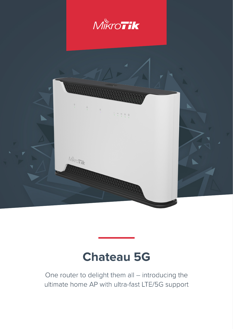

# **Chateau 5G**

One router to delight them all – introducing the ultimate home AP with ultra-fast LTE/5G support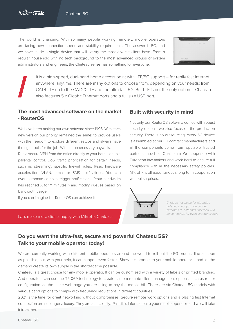The world is changing. With so many people working remotely, mobile operators are facing new connection speed and stability requirements. The answer is 5G, and we have made a single device that will satisfy the most diverse client base. From a regular household with no tech background to the most advanced groups of system administrators and engineers, the Chateau series has something for everyone.



It is a high-speed, dual-band home access point with LTE/5G support – for really fast Internet anywhere, anytime. There are many options to choose from, depending on your needs: from CAT4 LTE up to the CAT20 LTE and the ultra-fast 5G. But LTE is not the only option – Chateau also features 5 x Gigabit Ethernet ports and a full size USB port.

### **The most advanced software on the market - RouterOS**

We have been making our own software since 1996. With each new version our priority remained the same: to provide users with the freedom to explore different setups and always have the right tools for the job. Without unnecessary paywalls.

Run a secure VPN from the office directly to your home, enable parental control, QoS (traffic prioritization for certain needs, such as streaming), specific firewall rules, IPsec hardware acceleration, VLAN, e-mail or SMS notifications.. You can even automate complex trigger notifications ("Your bandwidth has reached X for Y minutes!") and modify queues based on bandwidth usage.

If you can imagine it – RouterOS can achieve it.

#### Let's make more clients happy with MikroTik Chateau!

#### **Built with security in mind**

Not only our RouterOS software comes with robust security options, we also focus on the production security. There is no outsourcing, every 5G device is assembled at our EU contract manufacturers and all the components come from reputable, trusted partners – such as Qualcomm. We cooperate with European law-makers and work hard to ensure full compliance with all the necessary safety policies. MikroTik is all about smooth, long-term cooperation without surprises.



*Chateau has powerful integrated antennas , but you can connect external LTE antennas (included with some models) for even stronger signal.*

## **Do you want the ultra-fast, secure and powerful Chateau 5G? Talk to your mobile operator today!**

We are currently working with different mobile operators around the world to roll out the 5G product line as soon as possible, but, with your help, it can happen even faster. Show this product to your mobile operator – and let the demand create its own supply in the shortest time possible.

Chateau is a great choice for any mobile operator. It can be customized with a variety of labels or printed branding. And operators can use the TR-069 technology to create custom remote client management options, such as router configuration via the same web-page you are using to pay the mobile bill. There are six Chateau 5G models with various band options to comply with frequency regulations in different countries.

2021 is the time for great networking without compromises. Secure remote work options and a blazing fast Internet connection are no longer a luxury. They are a necessity. Pass this information to your mobile operator, and we will take it from there.